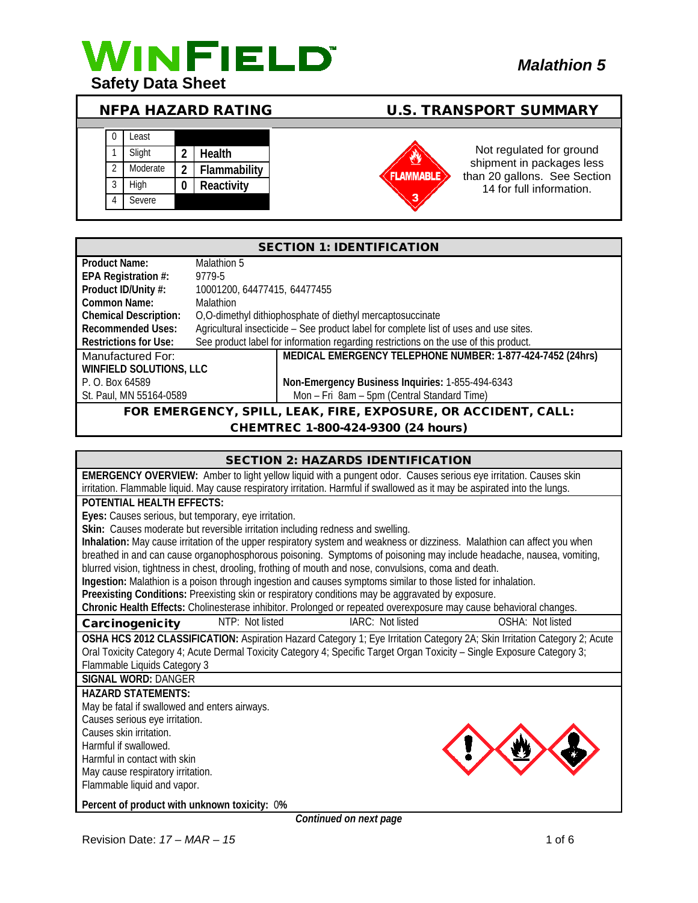

# NFPA HAZARD RATING U.S. TRANSPORT SUMMARY

| 0              | Least    |   |              |
|----------------|----------|---|--------------|
|                | Slight   | 2 | Health       |
| $\mathfrak{D}$ | Moderate | 2 | Flammability |
| 3              | High     |   | Reactivity   |
|                | Severe   |   |              |

# **FLAMMABLE**

Not regulated for ground shipment in packages less than 20 gallons. See Section 14 for full information.

| <b>SECTION 1: IDENTIFICATION</b>                                  |                                                                                       |                                                                                      |  |
|-------------------------------------------------------------------|---------------------------------------------------------------------------------------|--------------------------------------------------------------------------------------|--|
| <b>Product Name:</b>                                              | Malathion 5                                                                           |                                                                                      |  |
| EPA Registration #:                                               | 9779-5                                                                                |                                                                                      |  |
| Product ID/Unity #:                                               | 10001200, 64477415, 64477455                                                          |                                                                                      |  |
| Common Name:                                                      | <b>Malathion</b>                                                                      |                                                                                      |  |
| <b>Chemical Description:</b>                                      | O,O-dimethyl dithiophosphate of diethyl mercaptosuccinate                             |                                                                                      |  |
| <b>Recommended Uses:</b>                                          | Agricultural insecticide - See product label for complete list of uses and use sites. |                                                                                      |  |
| <b>Restrictions for Use:</b>                                      |                                                                                       | See product label for information regarding restrictions on the use of this product. |  |
| Manufactured For:                                                 |                                                                                       | MEDICAL EMERGENCY TELEPHONE NUMBER: 1-877-424-7452 (24hrs)                           |  |
| <b>WINFIELD SOLUTIONS, LLC</b>                                    |                                                                                       |                                                                                      |  |
| P. O. Box 64589                                                   |                                                                                       | Non-Emergency Business Inquiries: 1-855-494-6343                                     |  |
| St. Paul, MN 55164-0589                                           |                                                                                       | Mon - Fri 8am - 5pm (Central Standard Time)                                          |  |
| $FAK$ FIDE EXPOSIIDE OP ACCIDENT CALL.<br>EOD EMEDCENCY<br>SDIL I |                                                                                       |                                                                                      |  |

L, LEAK, FIRE, EXPOSURE, OR ACCIDENT, CALL:

CHEMTREC 1-800-424-9300 (24 hours)

| <b>SECTION 2: HAZARDS IDENTIFICATION</b>                                                                                    |  |  |  |  |
|-----------------------------------------------------------------------------------------------------------------------------|--|--|--|--|
| EMERGENCY OVERVIEW: Amber to light yellow liquid with a pungent odor. Causes serious eye irritation. Causes skin            |  |  |  |  |
| irritation. Flammable liquid. May cause respiratory irritation. Harmful if swallowed as it may be aspirated into the lungs. |  |  |  |  |
| POTENTIAL HEALTH FEFECTS:                                                                                                   |  |  |  |  |
| Eyes: Causes serious, but temporary, eye irritation.                                                                        |  |  |  |  |
| Skin: Causes moderate but reversible irritation including redness and swelling.                                             |  |  |  |  |
| Inhalation: May cause irritation of the upper respiratory system and weakness or dizziness. Malathion can affect you when   |  |  |  |  |
| breathed in and can cause organophosphorous poisoning. Symptoms of poisoning may include headache, nausea, vomiting,        |  |  |  |  |
| blurred vision, tightness in chest, drooling, frothing of mouth and nose, convulsions, coma and death.                      |  |  |  |  |
| Ingestion: Malathion is a poison through ingestion and causes symptoms similar to those listed for inhalation.              |  |  |  |  |
| Preexisting Conditions: Preexisting skin or respiratory conditions may be aggravated by exposure.                           |  |  |  |  |
| Chronic Health Effects: Cholinesterase inhibitor. Prolonged or repeated overexposure may cause behavioral changes.          |  |  |  |  |
| NTP: Not listed<br>OSHA: Not listed<br>IARC: Not listed<br>Carcinogenicity                                                  |  |  |  |  |
| OSHA HCS 2012 CLASSIFICATION: Aspiration Hazard Category 1; Eye Irritation Category 2A; Skin Irritation Category 2; Acute   |  |  |  |  |
| Oral Toxicity Category 4; Acute Dermal Toxicity Category 4; Specific Target Organ Toxicity – Single Exposure Category 3;    |  |  |  |  |
| Flammable Liquids Category 3                                                                                                |  |  |  |  |
| <b>SIGNAL WORD: DANGER</b>                                                                                                  |  |  |  |  |
| <b>HAZARD STATEMENTS:</b>                                                                                                   |  |  |  |  |
| May be fatal if swallowed and enters airways.                                                                               |  |  |  |  |
| Causes serious eye irritation.                                                                                              |  |  |  |  |
| Causes skin irritation.                                                                                                     |  |  |  |  |
| Harmful if swallowed.                                                                                                       |  |  |  |  |
| Harmful in contact with skin                                                                                                |  |  |  |  |
| May cause respiratory irritation.                                                                                           |  |  |  |  |
| Flammable liquid and vapor.                                                                                                 |  |  |  |  |
| Percent of product with unknown toxicity: 0%<br>Continued on nort none                                                      |  |  |  |  |

*Continued on next page*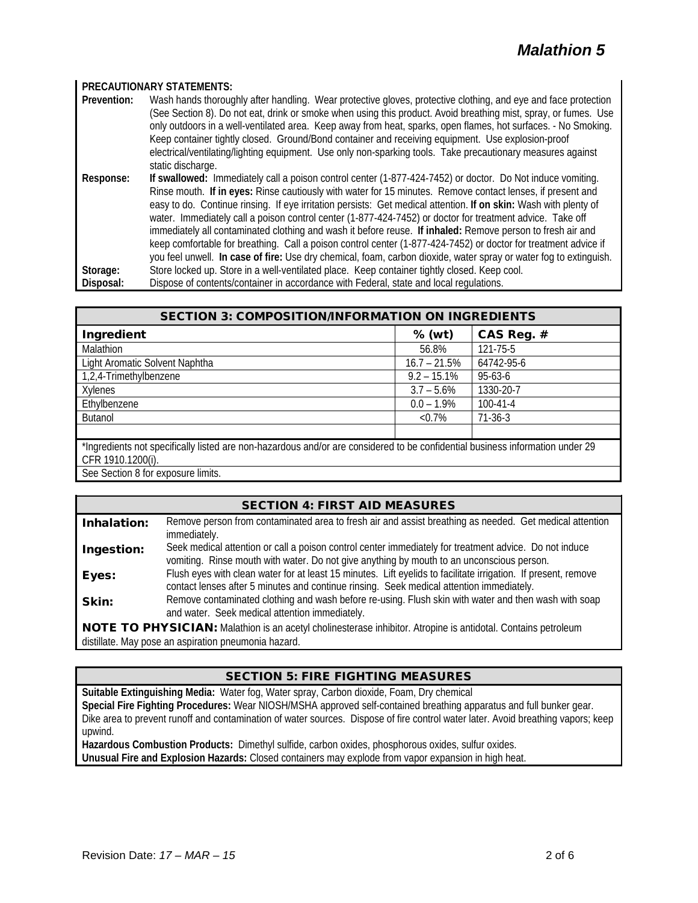#### **PRECAUTIONARY STATEMENTS:**

**Prevention:** Wash hands thoroughly after handling. Wear protective gloves, protective clothing, and eye and face protection (See Section 8). Do not eat, drink or smoke when using this product. Avoid breathing mist, spray, or fumes. Use only outdoors in a well-ventilated area. Keep away from heat, sparks, open flames, hot surfaces. - No Smoking. Keep container tightly closed. Ground/Bond container and receiving equipment. Use explosion-proof electrical/ventilating/lighting equipment. Use only non-sparking tools. Take precautionary measures against static discharge. **Response: If swallowed:** Immediately call a poison control center (1-877-424-7452) or doctor. Do Not induce vomiting. Rinse mouth. **If in eyes:** Rinse cautiously with water for 15 minutes. Remove contact lenses, if present and easy to do. Continue rinsing. If eye irritation persists: Get medical attention. **If on skin:** Wash with plenty of

water. Immediately call a poison control center (1-877-424-7452) or doctor for treatment advice. Take off immediately all contaminated clothing and wash it before reuse. **If inhaled:** Remove person to fresh air and keep comfortable for breathing. Call a poison control center (1-877-424-7452) or doctor for treatment advice if you feel unwell. **In case of fire:** Use dry chemical, foam, carbon dioxide, water spray or water fog to extinguish.

**Storage:** Store locked up. Store in a well-ventilated place. Keep container tightly closed. Keep cool. **Disposal:** Dispose of contents/container in accordance with Federal, state and local regulations.

| <b>SECTION 3: COMPOSITION/INFORMATION ON INGREDIENTS</b>                                                                                           |                |                |  |
|----------------------------------------------------------------------------------------------------------------------------------------------------|----------------|----------------|--|
| Ingredient                                                                                                                                         | $%$ (wt)       | CAS Reg. #     |  |
| Malathion                                                                                                                                          | 56.8%          | 121-75-5       |  |
| Light Aromatic Solvent Naphtha                                                                                                                     | $16.7 - 21.5%$ | 64742-95-6     |  |
| 1,2,4-Trimethylbenzene                                                                                                                             | $9.2 - 15.1\%$ | 95-63-6        |  |
| Xylenes                                                                                                                                            | $3.7 - 5.6\%$  | 1330-20-7      |  |
| Ethylbenzene                                                                                                                                       | $0.0 - 1.9\%$  | $100 - 41 - 4$ |  |
| <b>Butanol</b>                                                                                                                                     | $< 0.7\%$      | $71-36-3$      |  |
|                                                                                                                                                    |                |                |  |
| *Ingredients not specifically listed are non-hazardous and/or are considered to be confidential business information under 29<br>CFR 1910.1200(i). |                |                |  |

See Section 8 for exposure limits.

# SECTION 4: FIRST AID MEASURES

| Inhalation:                                                                                                   | Remove person from contaminated area to fresh air and assist breathing as needed. Get medical attention<br>immediately.                                                                                    |  |
|---------------------------------------------------------------------------------------------------------------|------------------------------------------------------------------------------------------------------------------------------------------------------------------------------------------------------------|--|
| Ingestion:                                                                                                    | Seek medical attention or call a poison control center immediately for treatment advice. Do not induce<br>vomiting. Rinse mouth with water. Do not give anything by mouth to an unconscious person.        |  |
| Eyes:                                                                                                         | Flush eyes with clean water for at least 15 minutes. Lift eyelids to facilitate irrigation. If present, remove<br>contact lenses after 5 minutes and continue rinsing. Seek medical attention immediately. |  |
| Skin:                                                                                                         | Remove contaminated clothing and wash before re-using. Flush skin with water and then wash with soap<br>and water. Seek medical attention immediately.                                                     |  |
| NOTE TO PHYSICIAN: Malathion is an acetyl cholinesterase inhibitor. Atropine is antidotal. Contains petroleum |                                                                                                                                                                                                            |  |

distillate. May pose an aspiration pneumonia hazard.

# SECTION 5: FIRE FIGHTING MEASURES

**Suitable Extinguishing Media:** Water fog, Water spray, Carbon dioxide, Foam, Dry chemical **Special Fire Fighting Procedures:** Wear NIOSH/MSHA approved self-contained breathing apparatus and full bunker gear. Dike area to prevent runoff and contamination of water sources. Dispose of fire control water later. Avoid breathing vapors; keep upwind. **Hazardous Combustion Products:** Dimethyl sulfide, carbon oxides, phosphorous oxides, sulfur oxides.

**Unusual Fire and Explosion Hazards:** Closed containers may explode from vapor expansion in high heat.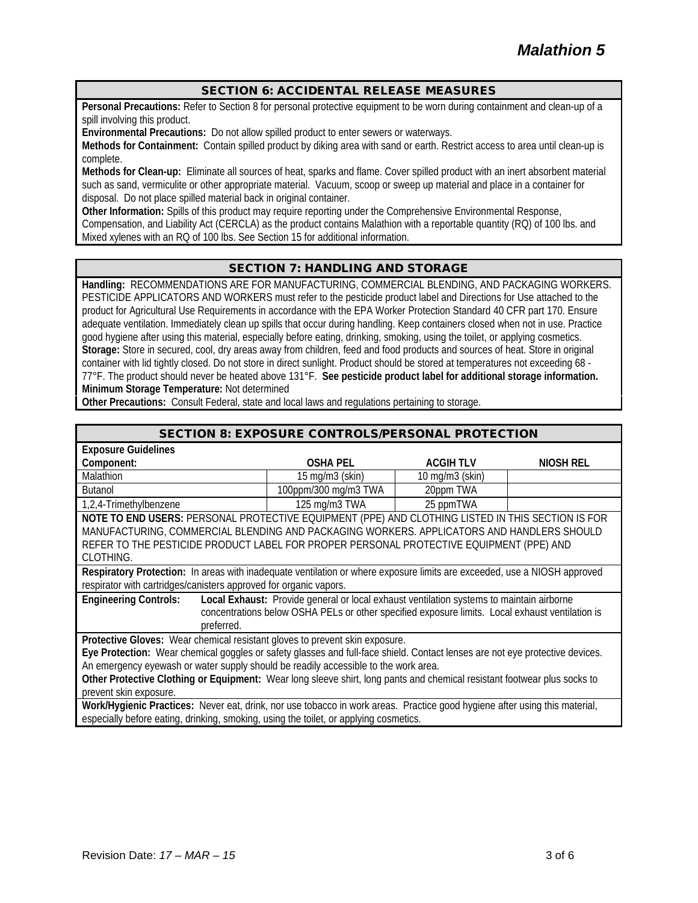# SECTION 6: ACCIDENTAL RELEASE MEASURES

**Personal Precautions:** Refer to Section 8 for personal protective equipment to be worn during containment and clean-up of a spill involving this product.

**Environmental Precautions:** Do not allow spilled product to enter sewers or waterways.

**Methods for Containment:** Contain spilled product by diking area with sand or earth. Restrict access to area until clean-up is complete.

**Methods for Clean-up:** Eliminate all sources of heat, sparks and flame. Cover spilled product with an inert absorbent material such as sand, vermiculite or other appropriate material. Vacuum, scoop or sweep up material and place in a container for disposal. Do not place spilled material back in original container.

**Other Information:** Spills of this product may require reporting under the Comprehensive Environmental Response, Compensation, and Liability Act (CERCLA) as the product contains Malathion with a reportable quantity (RQ) of 100 lbs. and Mixed xylenes with an RQ of 100 lbs. See Section 15 for additional information.

### SECTION 7: HANDLING AND STORAGE

**Handling:** RECOMMENDATIONS ARE FOR MANUFACTURING, COMMERCIAL BLENDING, AND PACKAGING WORKERS. PESTICIDE APPLICATORS AND WORKERS must refer to the pesticide product label and Directions for Use attached to the product for Agricultural Use Requirements in accordance with the EPA Worker Protection Standard 40 CFR part 170. Ensure adequate ventilation. Immediately clean up spills that occur during handling. Keep containers closed when not in use. Practice good hygiene after using this material, especially before eating, drinking, smoking, using the toilet, or applying cosmetics. **Storage:** Store in secured, cool, dry areas away from children, feed and food products and sources of heat. Store in original container with lid tightly closed. Do not store in direct sunlight. Product should be stored at temperatures not exceeding 68 - 77°F. The product should never be heated above 131°F. **See pesticide product label for additional storage information. Minimum Storage Temperature:** Not determined

**Other Precautions:** Consult Federal, state and local laws and regulations pertaining to storage.

#### SECTION 8: EXPOSURE CONTROLS/PERSONAL PROTECTION

| <b>Exposure Guidelines</b>                                                                                                                                                                                                                                                                             |                                      |                      |           |
|--------------------------------------------------------------------------------------------------------------------------------------------------------------------------------------------------------------------------------------------------------------------------------------------------------|--------------------------------------|----------------------|-----------|
| Component:                                                                                                                                                                                                                                                                                             | <b>OSHA PEL</b>                      | <b>ACGIHTLV</b>      | NIOSH REL |
| Malathion                                                                                                                                                                                                                                                                                              | $15 \text{ mg/m}$ $3 \text{ (skin)}$ | $10$ mg/m $3$ (skin) |           |
| <b>Butanol</b>                                                                                                                                                                                                                                                                                         | 100ppm/300 mg/m3 TWA                 | 20ppm TWA            |           |
| 1,2,4-Trimethylbenzene                                                                                                                                                                                                                                                                                 | 125 mg/m3 TWA                        | 25 ppmTWA            |           |
| NOTE TO END USERS: PERSONAL PROTECTIVE EQUIPMENT (PPE) AND CLOTHING LISTED IN THIS SECTION IS FOR<br>MANUFACTURING, COMMERCIAL BLENDING AND PACKAGING WORKERS. APPLICATORS AND HANDLERS SHOULD<br>REFER TO THE PESTICIDE PRODUCT LABEL FOR PROPER PERSONAL PROTECTIVE EQUIPMENT (PPE) AND<br>CLOTHING. |                                      |                      |           |
| Respiratory Protection: In areas with inadequate ventilation or where exposure limits are exceeded, use a NIOSH approved                                                                                                                                                                               |                                      |                      |           |
| respirator with cartridges/canisters approved for organic vapors.                                                                                                                                                                                                                                      |                                      |                      |           |
| <b>Engineering Controls:</b><br>Local Exhaust: Provide general or local exhaust ventilation systems to maintain airborne<br>concentrations below OSHA PELs or other specified exposure limits. Local exhaust ventilation is<br>preferred.                                                              |                                      |                      |           |
| Protective Gloves: Wear chemical resistant gloves to prevent skin exposure.                                                                                                                                                                                                                            |                                      |                      |           |
| Eye Protection: Wear chemical goggles or safety glasses and full-face shield. Contact lenses are not eye protective devices.                                                                                                                                                                           |                                      |                      |           |
| An emergency eyewash or water supply should be readily accessible to the work area.                                                                                                                                                                                                                    |                                      |                      |           |
| Other Protective Clothing or Equipment: Wear long sleeve shirt, long pants and chemical resistant footwear plus socks to                                                                                                                                                                               |                                      |                      |           |
| prevent skin exposure.                                                                                                                                                                                                                                                                                 |                                      |                      |           |
| Work/Hygienic Practices: Never eat, drink, nor use tobacco in work areas. Practice good hygiene after using this material,                                                                                                                                                                             |                                      |                      |           |

especially before eating, drinking, smoking, using the toilet, or applying cosmetics.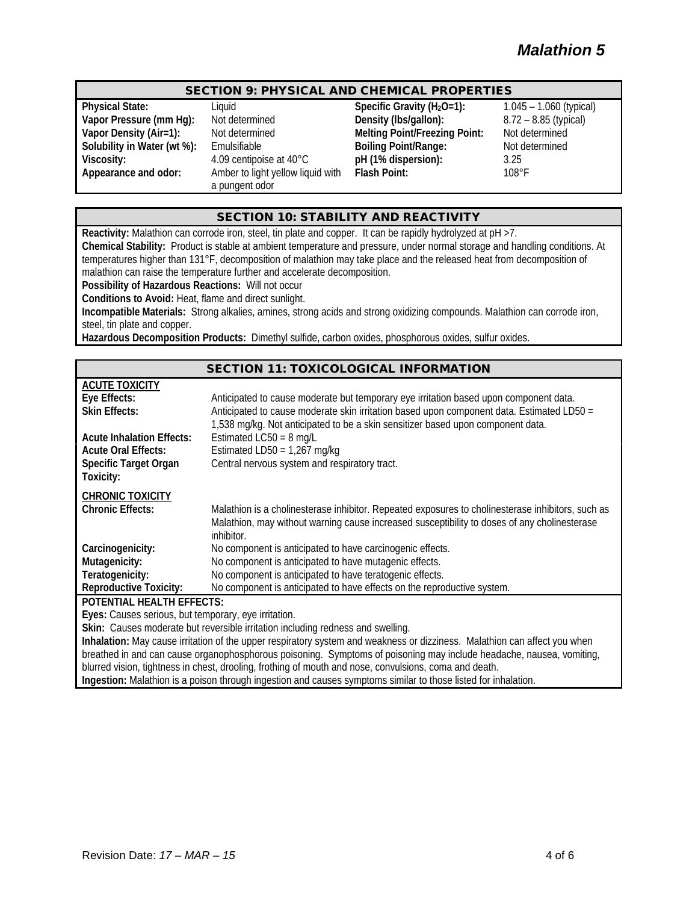# SECTION 9: PHYSICAL AND CHEMICAL PROPERTIES

**Vapor Pressure (mm Hg):** Not determined<br>**Vapor Density (Air=1):** 8.85 Not determined

**Appearance and odor:** Amber to light yellow liquid with a pungent odor

**Physical State:** Liquid Liquid Specific Gravity (H<sub>2</sub>O=1): 1.045 – 1.060 (typical)<br> **Vapor Pressure (mm Hg):** Not determined Density (Ibs/gallon): 8.72 – 8.85 (typical) **Vapor Density (Air=1):** Not determined **Melting Point/Freezing Point:** Not determined **Solubility in Water (wt %):** Emulsifiable **Boiling Point/Range:** Not determined **Viscosity:** 4.09 centipoise at 40°C **pH (1% dispersion):** 3.25 **Flash Point:** 108°F

# SECTION 10: STABILITY AND REACTIVITY

**Reactivity:** Malathion can corrode iron, steel, tin plate and copper. It can be rapidly hydrolyzed at pH >7. **Chemical Stability:** Product is stable at ambient temperature and pressure, under normal storage and handling conditions. At temperatures higher than 131°F, decomposition of malathion may take place and the released heat from decomposition of malathion can raise the temperature further and accelerate decomposition. **Possibility of Hazardous Reactions:** Will not occur

**Conditions to Avoid:** Heat, flame and direct sunlight.

**Incompatible Materials:** Strong alkalies, amines, strong acids and strong oxidizing compounds. Malathion can corrode iron, steel, tin plate and copper.

**Hazardous Decomposition Products:** Dimethyl sulfide, carbon oxides, phosphorous oxides, sulfur oxides.

#### SECTION 11: TOXICOLOGICAL INFORMATION

| <b>ACUTE TOXICITY</b>                                                                                                     |                                                                                                   |  |  |
|---------------------------------------------------------------------------------------------------------------------------|---------------------------------------------------------------------------------------------------|--|--|
| Eye Effects:                                                                                                              | Anticipated to cause moderate but temporary eye irritation based upon component data.             |  |  |
| <b>Skin Effects:</b>                                                                                                      | Anticipated to cause moderate skin irritation based upon component data. Estimated LD50 =         |  |  |
|                                                                                                                           | 1,538 mg/kg. Not anticipated to be a skin sensitizer based upon component data.                   |  |  |
| <b>Acute Inhalation Effects:</b>                                                                                          | Estimated $LC50 = 8$ mg/L                                                                         |  |  |
| <b>Acute Oral Effects:</b>                                                                                                | Estimated LD50 = $1,267$ mg/kg                                                                    |  |  |
| Specific Target Organ                                                                                                     | Central nervous system and respiratory tract.                                                     |  |  |
| Toxicity:                                                                                                                 |                                                                                                   |  |  |
| <b>CHRONIC TOXICITY</b>                                                                                                   |                                                                                                   |  |  |
| <b>Chronic Effects:</b>                                                                                                   | Malathion is a cholinesterase inhibitor. Repeated exposures to cholinesterase inhibitors, such as |  |  |
|                                                                                                                           | Malathion, may without warning cause increased susceptibility to doses of any cholinesterase      |  |  |
|                                                                                                                           | inhibitor.                                                                                        |  |  |
| Carcinogenicity:                                                                                                          | No component is anticipated to have carcinogenic effects.                                         |  |  |
| Mutagenicity:                                                                                                             | No component is anticipated to have mutagenic effects.                                            |  |  |
| Teratogenicity:                                                                                                           | No component is anticipated to have teratogenic effects.                                          |  |  |
| <b>Reproductive Toxicity:</b>                                                                                             | No component is anticipated to have effects on the reproductive system.                           |  |  |
| POTENTIAL HEALTH EFFECTS:                                                                                                 |                                                                                                   |  |  |
| Eyes: Causes serious, but temporary, eye irritation.                                                                      |                                                                                                   |  |  |
| Skin: Causes moderate but reversible irritation including redness and swelling.                                           |                                                                                                   |  |  |
| Inhalation: May cause irritation of the upper respiratory system and weakness or dizziness. Malathion can affect you when |                                                                                                   |  |  |
| breathed in and can cause organophosphorous poisoning. Symptoms of poisoning may include headache, nausea, vomiting,      |                                                                                                   |  |  |
| blurred vision, tightness in chest, drooling, frothing of mouth and nose, convulsions, coma and death.                    |                                                                                                   |  |  |
| Ingestion: Malathion is a poison through ingestion and causes symptoms similar to those listed for inhalation.            |                                                                                                   |  |  |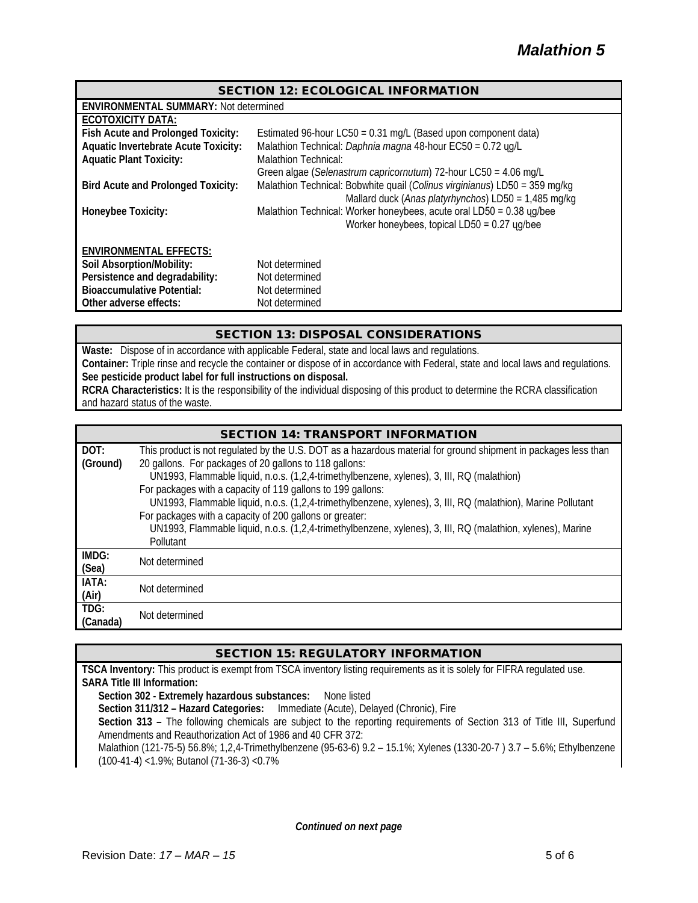| <b>SECTION 12: ECOLOGICAL INFORMATION</b>    |                                                                            |  |  |
|----------------------------------------------|----------------------------------------------------------------------------|--|--|
| <b>ENVIRONMENTAL SUMMARY: Not determined</b> |                                                                            |  |  |
| <b>ECOTOXICITY DATA:</b>                     |                                                                            |  |  |
| Fish Acute and Prolonged Toxicity:           | Estimated 96-hour LC50 = 0.31 mg/L (Based upon component data)             |  |  |
| <b>Aquatic Invertebrate Acute Toxicity:</b>  | Malathion Technical: Daphnia magna 48-hour EC50 = 0.72 yg/L                |  |  |
| <b>Aquatic Plant Toxicity:</b>               | Malathion Technical:                                                       |  |  |
|                                              | Green algae (Selenastrum capricornutum) 72-hour LC50 = 4.06 mg/L           |  |  |
| <b>Bird Acute and Prolonged Toxicity:</b>    | Malathion Technical: Bobwhite quail (Colinus virginianus) LD50 = 359 mg/kg |  |  |
|                                              | Mallard duck (Anas platyrhynchos) LD50 = 1,485 mg/kg                       |  |  |
| <b>Honeybee Toxicity:</b>                    | Malathion Technical: Worker honeybees, acute oral LD50 = 0.38 ug/bee       |  |  |
|                                              | Worker honeybees, topical $LD50 = 0.27$ ug/bee                             |  |  |
|                                              |                                                                            |  |  |
| <b>ENVIRONMENTAL EFFECTS:</b>                |                                                                            |  |  |
| Soil Absorption/Mobility:                    | Not determined                                                             |  |  |
| Persistence and degradability:               | Not determined                                                             |  |  |
| <b>Bioaccumulative Potential:</b>            | Not determined                                                             |  |  |
| Other adverse effects:                       | Not determined                                                             |  |  |

# SECTION 13: DISPOSAL CONSIDERATIONS

**Waste:** Dispose of in accordance with applicable Federal, state and local laws and regulations. **Container:** Triple rinse and recycle the container or dispose of in accordance with Federal, state and local laws and regulations. **See pesticide product label for full instructions on disposal. RCRA Characteristics:** It is the responsibility of the individual disposing of this product to determine the RCRA classification and hazard status of the waste.

| DOT:     | This product is not regulated by the U.S. DOT as a hazardous material for ground shipment in packages less than |
|----------|-----------------------------------------------------------------------------------------------------------------|
| (Ground) | 20 gallons. For packages of 20 gallons to 118 gallons:                                                          |
|          | UN1993, Flammable liquid, n.o.s. (1,2,4-trimethylbenzene, xylenes), 3, III, RQ (malathion)                      |
|          | For packages with a capacity of 119 gallons to 199 gallons:                                                     |
|          | UN1993, Flammable liquid, n.o.s. (1,2,4-trimethylbenzene, xylenes), 3, III, RQ (malathion), Marine Pollutant    |
|          | For packages with a capacity of 200 gallons or greater:                                                         |
|          | UN1993, Flammable liquid, n.o.s. (1,2,4-trimethylbenzene, xylenes), 3, III, RQ (malathion, xylenes), Marine     |
|          | Pollutant                                                                                                       |
| IMDG:    | Not determined                                                                                                  |
| (Sea)    |                                                                                                                 |
| IATA:    | Not determined                                                                                                  |
| (Air)    |                                                                                                                 |
| TDG:     | Not determined                                                                                                  |
| (Canada) |                                                                                                                 |

# SECTION 15: REGULATORY INFORMATION

**TSCA Inventory:** This product is exempt from TSCA inventory listing requirements as it is solely for FIFRA regulated use. **SARA Title III Information: Section 302 - Extremely hazardous substances:** None listed **Section 311/312 – Hazard Categories:** Immediate (Acute), Delayed (Chronic), Fire **Section 313 –** The following chemicals are subject to the reporting requirements of Section 313 of Title III, Superfund

Amendments and Reauthorization Act of 1986 and 40 CFR 372:

Malathion (121-75-5) 56.8%; 1,2,4-Trimethylbenzene (95-63-6) 9.2 – 15.1%; Xylenes (1330-20-7 ) 3.7 – 5.6%; Ethylbenzene (100-41-4) <1.9%; Butanol (71-36-3) <0.7%

*Continued on next page*